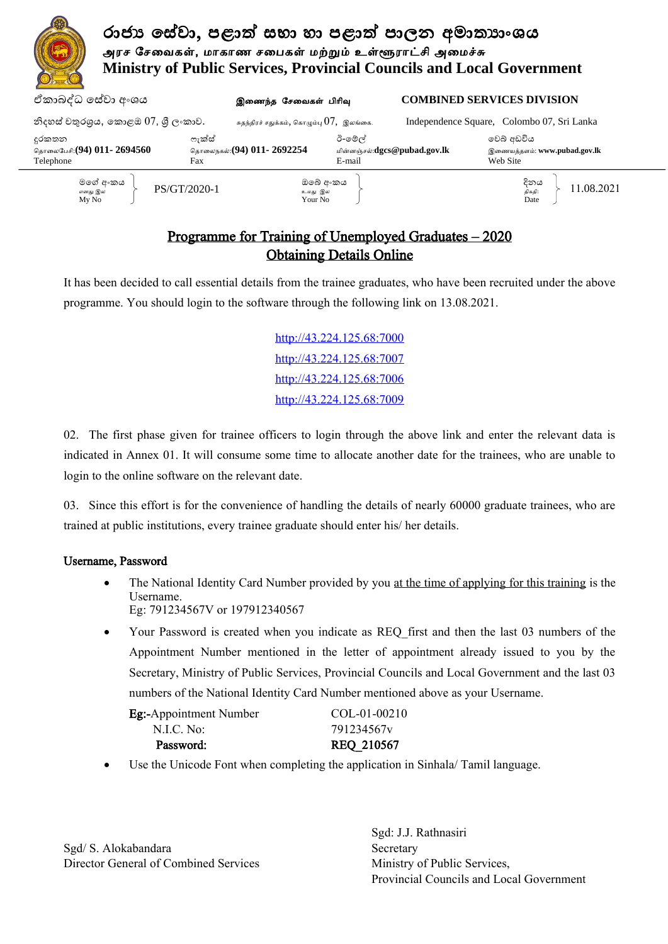

## Programme for Training of Unemployed Graduates – 2020 Obtaining Details Online

It has been decided to call essential details from the trainee graduates, who have been recruited under the above programme. You should login to the software through the following link on 13.08.2021.

> http://43.224.125.68:7000 http://43.224.125.68:7007 http://43.224.125.68:7006 http://43.224.125.68:7009

02. The first phase given for trainee officers to login through the above link and enter the relevant data is indicated in Annex 01. It will consume some time to allocate another date for the trainees, who are unable to login to the online software on the relevant date.

03. Since this effort is for the convenience of handling the details of nearly 60000 graduate trainees, who are trained at public institutions, every trainee graduate should enter his/ her details.

### Username, Password

- The National Identity Card Number provided by you at the time of applying for this training is the Username. Eg: 791234567V or 197912340567
- Your Password is created when you indicate as REQ\_first and then the last 03 numbers of the Appointment Number mentioned in the letter of appointment already issued to you by the Secretary, Ministry of Public Services, Provincial Councils and Local Government and the last 03 numbers of the National Identity Card Number mentioned above as your Username.

| <b>Eg:-Appointment Number</b> | $COL-01-00210$ |
|-------------------------------|----------------|
| N.L.C. No:                    | 791234567y     |
| Password:                     | REQ 210567     |

Use the Unicode Font when completing the application in Sinhala/ Tamil language.

Sgd/ S. Alokabandara Secretary Director General of Combined Services Ministry of Public Services,

Sgd: J.J. Rathnasiri Provincial Councils and Local Government